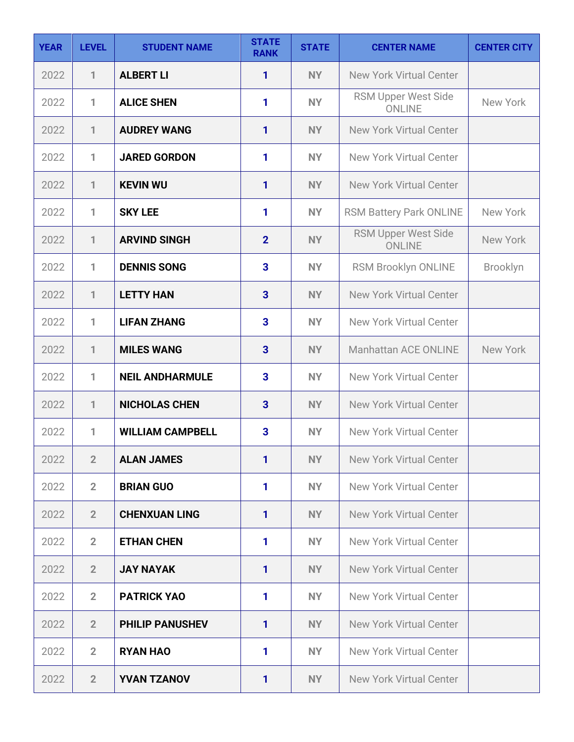| <b>YEAR</b> | <b>LEVEL</b>   | <b>STUDENT NAME</b>     | <b>STATE</b><br><b>RANK</b> | <b>STATE</b> | <b>CENTER NAME</b>                          | <b>CENTER CITY</b> |
|-------------|----------------|-------------------------|-----------------------------|--------------|---------------------------------------------|--------------------|
| 2022        | $\mathbf{1}$   | <b>ALBERT LI</b>        | 1                           | <b>NY</b>    | <b>New York Virtual Center</b>              |                    |
| 2022        | 1              | <b>ALICE SHEN</b>       | 1                           | <b>NY</b>    | RSM Upper West Side<br><b>ONLINE</b>        | New York           |
| 2022        | 1              | <b>AUDREY WANG</b>      | 1                           | <b>NY</b>    | <b>New York Virtual Center</b>              |                    |
| 2022        | 1              | <b>JARED GORDON</b>     | 1                           | <b>NY</b>    | New York Virtual Center                     |                    |
| 2022        | 1              | <b>KEVIN WU</b>         | 1                           | <b>NY</b>    | <b>New York Virtual Center</b>              |                    |
| 2022        | 1              | <b>SKY LEE</b>          | 1                           | <b>NY</b>    | <b>RSM Battery Park ONLINE</b>              | New York           |
| 2022        | $\mathbf{1}$   | <b>ARVIND SINGH</b>     | $\overline{2}$              | <b>NY</b>    | <b>RSM Upper West Side</b><br><b>ONLINE</b> | New York           |
| 2022        | 1              | <b>DENNIS SONG</b>      | 3                           | <b>NY</b>    | RSM Brooklyn ONLINE                         | <b>Brooklyn</b>    |
| 2022        | $\mathbf{1}$   | <b>LETTY HAN</b>        | 3                           | <b>NY</b>    | <b>New York Virtual Center</b>              |                    |
| 2022        | 1              | <b>LIFAN ZHANG</b>      | 3                           | <b>NY</b>    | <b>New York Virtual Center</b>              |                    |
| 2022        | $\mathbf{1}$   | <b>MILES WANG</b>       | 3                           | <b>NY</b>    | <b>Manhattan ACE ONLINE</b>                 | New York           |
| 2022        | 1              | <b>NEIL ANDHARMULE</b>  | 3                           | <b>NY</b>    | <b>New York Virtual Center</b>              |                    |
| 2022        | $\mathbf{1}$   | <b>NICHOLAS CHEN</b>    | 3                           | <b>NY</b>    | <b>New York Virtual Center</b>              |                    |
| 2022        | 1              | <b>WILLIAM CAMPBELL</b> | 3                           | <b>NY</b>    | <b>New York Virtual Center</b>              |                    |
| 2022        | $\overline{2}$ | <b>ALAN JAMES</b>       | $\mathbf{1}$                | NY           | <b>New York Virtual Center</b>              |                    |
| 2022        | $\overline{2}$ | <b>BRIAN GUO</b>        | 1                           | <b>NY</b>    | <b>New York Virtual Center</b>              |                    |
| 2022        | $\overline{2}$ | <b>CHENXUAN LING</b>    | 1                           | NY           | <b>New York Virtual Center</b>              |                    |
| 2022        | $\overline{2}$ | <b>ETHAN CHEN</b>       | 1                           | <b>NY</b>    | <b>New York Virtual Center</b>              |                    |
| 2022        | $\overline{2}$ | <b>JAY NAYAK</b>        | 1                           | NY           | <b>New York Virtual Center</b>              |                    |
| 2022        | $\overline{2}$ | <b>PATRICK YAO</b>      | 1                           | <b>NY</b>    | <b>New York Virtual Center</b>              |                    |
| 2022        | $\overline{2}$ | <b>PHILIP PANUSHEV</b>  | $\mathbf{1}$                | NY           | <b>New York Virtual Center</b>              |                    |
| 2022        | $\overline{2}$ | <b>RYAN HAO</b>         | 1                           | <b>NY</b>    | <b>New York Virtual Center</b>              |                    |
| 2022        | $\overline{2}$ | <b>YVAN TZANOV</b>      | 1                           | NY           | <b>New York Virtual Center</b>              |                    |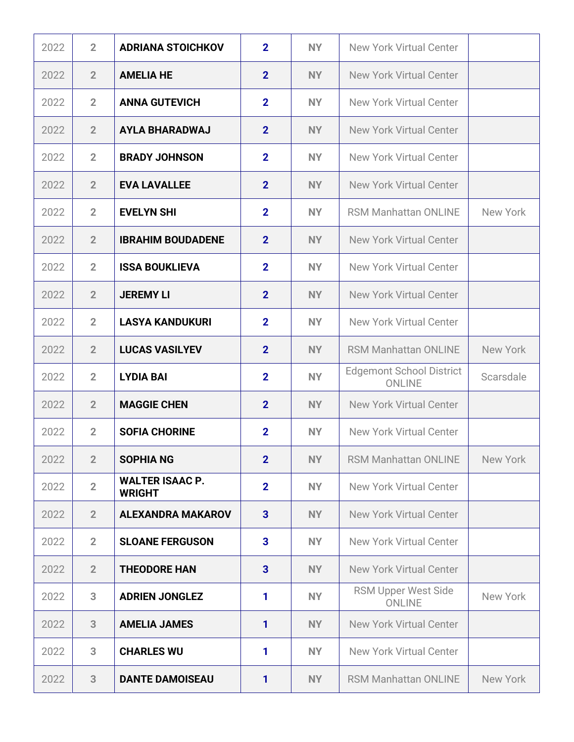| 2022 | $\overline{2}$ | <b>ADRIANA STOICHKOV</b>                | $\mathbf{2}$   | <b>NY</b> | <b>New York Virtual Center</b>                   |           |
|------|----------------|-----------------------------------------|----------------|-----------|--------------------------------------------------|-----------|
| 2022 | $\overline{2}$ | <b>AMELIA HE</b>                        | $\overline{2}$ | <b>NY</b> | <b>New York Virtual Center</b>                   |           |
| 2022 | $\overline{2}$ | <b>ANNA GUTEVICH</b>                    | $\overline{2}$ | <b>NY</b> | <b>New York Virtual Center</b>                   |           |
| 2022 | $\overline{2}$ | <b>AYLA BHARADWAJ</b>                   | $\overline{2}$ | <b>NY</b> | <b>New York Virtual Center</b>                   |           |
| 2022 | $\overline{2}$ | <b>BRADY JOHNSON</b>                    | $\overline{2}$ | <b>NY</b> | New York Virtual Center                          |           |
| 2022 | $\overline{2}$ | <b>EVA LAVALLEE</b>                     | $\overline{2}$ | <b>NY</b> | <b>New York Virtual Center</b>                   |           |
| 2022 | $\overline{2}$ | <b>EVELYN SHI</b>                       | $\overline{2}$ | <b>NY</b> | <b>RSM Manhattan ONLINE</b>                      | New York  |
| 2022 | $\overline{2}$ | <b>IBRAHIM BOUDADENE</b>                | $\overline{2}$ | <b>NY</b> | <b>New York Virtual Center</b>                   |           |
| 2022 | $\overline{2}$ | <b>ISSA BOUKLIEVA</b>                   | $\mathbf{2}$   | <b>NY</b> | <b>New York Virtual Center</b>                   |           |
| 2022 | $\overline{2}$ | <b>JEREMY LI</b>                        | $\overline{2}$ | <b>NY</b> | <b>New York Virtual Center</b>                   |           |
| 2022 | $\overline{2}$ | <b>LASYA KANDUKURI</b>                  | $\overline{2}$ | <b>NY</b> | <b>New York Virtual Center</b>                   |           |
| 2022 | $\overline{2}$ | <b>LUCAS VASILYEV</b>                   | $\overline{2}$ | <b>NY</b> | <b>RSM Manhattan ONLINE</b>                      | New York  |
| 2022 | $\overline{2}$ | <b>LYDIA BAI</b>                        | $\overline{2}$ | <b>NY</b> | <b>Edgemont School District</b><br><b>ONLINE</b> | Scarsdale |
| 2022 | $\overline{2}$ | <b>MAGGIE CHEN</b>                      | $\overline{2}$ | <b>NY</b> | <b>New York Virtual Center</b>                   |           |
| 2022 | $\overline{2}$ | <b>SOFIA CHORINE</b>                    | $\overline{2}$ | <b>NY</b> | <b>New York Virtual Center</b>                   |           |
| 2022 | $\overline{2}$ | <b>SOPHIA NG</b>                        | $\overline{2}$ | <b>NY</b> | <b>RSM Manhattan ONLINE</b>                      | New York  |
| 2022 | $\overline{2}$ | <b>WALTER ISAAC P.</b><br><b>WRIGHT</b> | $\overline{2}$ | <b>NY</b> | New York Virtual Center                          |           |
| 2022 | $\overline{2}$ | <b>ALEXANDRA MAKAROV</b>                | 3              | <b>NY</b> | <b>New York Virtual Center</b>                   |           |
| 2022 | $\overline{2}$ | <b>SLOANE FERGUSON</b>                  | 3              | <b>NY</b> | <b>New York Virtual Center</b>                   |           |
| 2022 | $\overline{2}$ | <b>THEODORE HAN</b>                     | 3              | <b>NY</b> | New York Virtual Center                          |           |
| 2022 | 3              | <b>ADRIEN JONGLEZ</b>                   | 1              | <b>NY</b> | <b>RSM Upper West Side</b><br><b>ONLINE</b>      | New York  |
| 2022 | 3              | <b>AMELIA JAMES</b>                     | $\mathbf{1}$   | <b>NY</b> | <b>New York Virtual Center</b>                   |           |
| 2022 | 3              | <b>CHARLES WU</b>                       | 1              | <b>NY</b> | <b>New York Virtual Center</b>                   |           |
| 2022 | 3              | <b>DANTE DAMOISEAU</b>                  | 1              | NY        | <b>RSM Manhattan ONLINE</b>                      | New York  |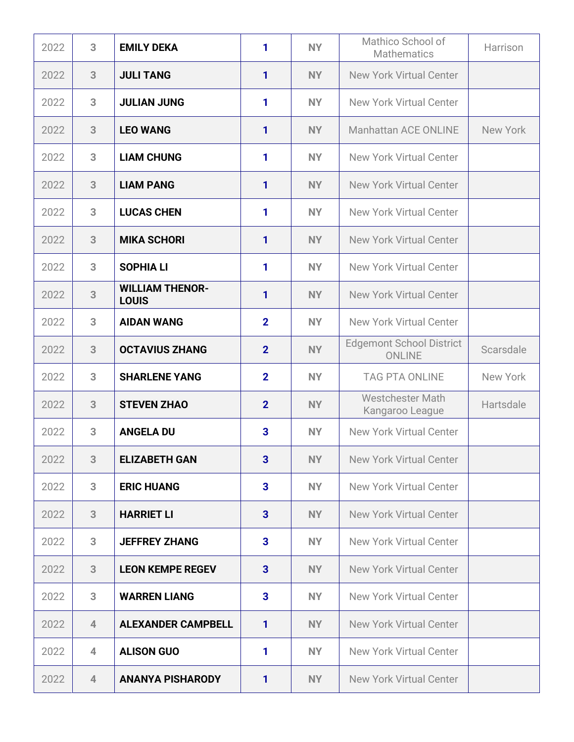| 2022 | 3              | <b>EMILY DEKA</b>                      | 1              | <b>NY</b> | Mathico School of<br><b>Mathematics</b>          | Harrison  |
|------|----------------|----------------------------------------|----------------|-----------|--------------------------------------------------|-----------|
| 2022 | 3              | <b>JULI TANG</b>                       | $\mathbf{1}$   | <b>NY</b> | <b>New York Virtual Center</b>                   |           |
| 2022 | 3              | <b>JULIAN JUNG</b>                     | 1              | <b>NY</b> | <b>New York Virtual Center</b>                   |           |
| 2022 | 3              | <b>LEO WANG</b>                        | 1              | <b>NY</b> | <b>Manhattan ACE ONLINE</b>                      | New York  |
| 2022 | 3              | <b>LIAM CHUNG</b>                      | 1              | <b>NY</b> | <b>New York Virtual Center</b>                   |           |
| 2022 | 3              | <b>LIAM PANG</b>                       | 1              | <b>NY</b> | <b>New York Virtual Center</b>                   |           |
| 2022 | 3              | <b>LUCAS CHEN</b>                      | 1              | <b>NY</b> | <b>New York Virtual Center</b>                   |           |
| 2022 | 3              | <b>MIKA SCHORI</b>                     | 1              | <b>NY</b> | <b>New York Virtual Center</b>                   |           |
| 2022 | 3              | <b>SOPHIA LI</b>                       | 1              | <b>NY</b> | <b>New York Virtual Center</b>                   |           |
| 2022 | 3              | <b>WILLIAM THENOR-</b><br><b>LOUIS</b> | 1              | <b>NY</b> | <b>New York Virtual Center</b>                   |           |
| 2022 | 3              | <b>AIDAN WANG</b>                      | $\overline{2}$ | <b>NY</b> | <b>New York Virtual Center</b>                   |           |
| 2022 | 3              | <b>OCTAVIUS ZHANG</b>                  | $\overline{2}$ | <b>NY</b> | <b>Edgemont School District</b><br><b>ONLINE</b> | Scarsdale |
| 2022 | 3              | <b>SHARLENE YANG</b>                   | $\overline{2}$ | <b>NY</b> | <b>TAG PTA ONLINE</b>                            | New York  |
| 2022 | 3              | <b>STEVEN ZHAO</b>                     | $\overline{2}$ | <b>NY</b> | <b>Westchester Math</b><br>Kangaroo League       | Hartsdale |
| 2022 | 3              | <b>ANGELA DU</b>                       | 3              | <b>NY</b> | <b>New York Virtual Center</b>                   |           |
| 2022 | 3              | <b>ELIZABETH GAN</b>                   | $\mathbf{3}$   | <b>NY</b> | <b>New York Virtual Center</b>                   |           |
| 2022 | 3              | <b>ERIC HUANG</b>                      | 3              | <b>NY</b> | <b>New York Virtual Center</b>                   |           |
| 2022 | 3              | <b>HARRIET LI</b>                      | 3              | <b>NY</b> | <b>New York Virtual Center</b>                   |           |
| 2022 | 3              | <b>JEFFREY ZHANG</b>                   | 3              | <b>NY</b> | <b>New York Virtual Center</b>                   |           |
| 2022 | 3              | <b>LEON KEMPE REGEV</b>                | 3              | <b>NY</b> | <b>New York Virtual Center</b>                   |           |
| 2022 | 3              | <b>WARREN LIANG</b>                    | 3              | <b>NY</b> | <b>New York Virtual Center</b>                   |           |
| 2022 | $\overline{4}$ | <b>ALEXANDER CAMPBELL</b>              | $\mathbf{1}$   | <b>NY</b> | <b>New York Virtual Center</b>                   |           |
| 2022 | $\overline{4}$ | <b>ALISON GUO</b>                      | 1              | <b>NY</b> | <b>New York Virtual Center</b>                   |           |
| 2022 | $\overline{4}$ | <b>ANANYA PISHARODY</b>                | 1              | <b>NY</b> | <b>New York Virtual Center</b>                   |           |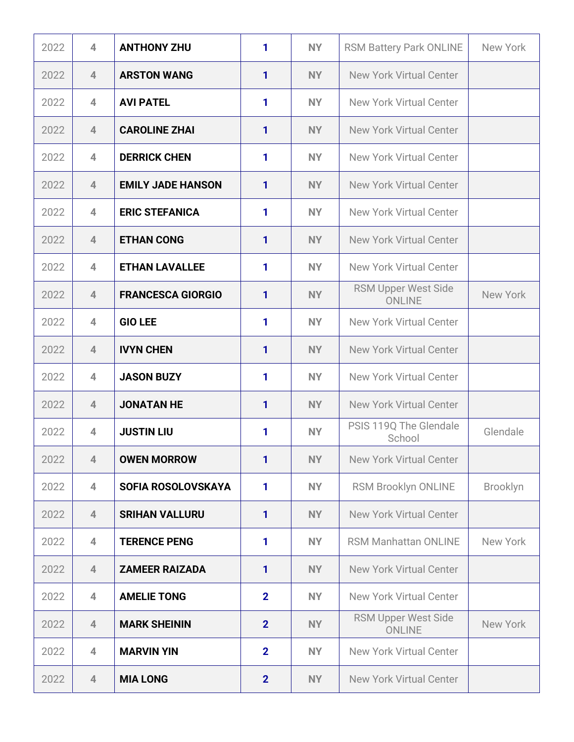| 2022 | $\overline{4}$           | <b>ANTHONY ZHU</b>       | 1              | <b>NY</b> | <b>RSM Battery Park ONLINE</b>              | New York        |
|------|--------------------------|--------------------------|----------------|-----------|---------------------------------------------|-----------------|
| 2022 | $\overline{4}$           | <b>ARSTON WANG</b>       | $\mathbf{1}$   | <b>NY</b> | <b>New York Virtual Center</b>              |                 |
| 2022 | $\overline{4}$           | <b>AVI PATEL</b>         | 1              | <b>NY</b> | <b>New York Virtual Center</b>              |                 |
| 2022 | $\overline{4}$           | <b>CAROLINE ZHAI</b>     | 1              | <b>NY</b> | <b>New York Virtual Center</b>              |                 |
| 2022 | $\overline{4}$           | <b>DERRICK CHEN</b>      | 1              | <b>NY</b> | <b>New York Virtual Center</b>              |                 |
| 2022 | $\overline{4}$           | <b>EMILY JADE HANSON</b> | 1              | <b>NY</b> | <b>New York Virtual Center</b>              |                 |
| 2022 | 4                        | <b>ERIC STEFANICA</b>    | 1              | <b>NY</b> | <b>New York Virtual Center</b>              |                 |
| 2022 | $\overline{4}$           | <b>ETHAN CONG</b>        | 1              | <b>NY</b> | <b>New York Virtual Center</b>              |                 |
| 2022 | 4                        | <b>ETHAN LAVALLEE</b>    | 1              | <b>NY</b> | <b>New York Virtual Center</b>              |                 |
| 2022 | $\overline{4}$           | <b>FRANCESCA GIORGIO</b> | 1              | <b>NY</b> | RSM Upper West Side<br><b>ONLINE</b>        | <b>New York</b> |
| 2022 | $\overline{\mathcal{A}}$ | <b>GIO LEE</b>           | 1              | <b>NY</b> | <b>New York Virtual Center</b>              |                 |
| 2022 | $\overline{\mathcal{A}}$ | <b>IVYN CHEN</b>         | 1              | <b>NY</b> | <b>New York Virtual Center</b>              |                 |
| 2022 | 4                        | <b>JASON BUZY</b>        | 1              | <b>NY</b> | <b>New York Virtual Center</b>              |                 |
| 2022 | $\overline{4}$           | <b>JONATAN HE</b>        | 1              | <b>NY</b> | <b>New York Virtual Center</b>              |                 |
| 2022 | $\overline{\mathcal{A}}$ | <b>JUSTIN LIU</b>        | 1              | <b>NY</b> | PSIS 119Q The Glendale<br>School            | Glendale        |
| 2022 | $\overline{4}$           | <b>OWEN MORROW</b>       | 1              | <b>NY</b> | <b>New York Virtual Center</b>              |                 |
| 2022 | 4                        | SOFIA ROSOLOVSKAYA       | 1              | <b>NY</b> | RSM Brooklyn ONLINE                         | <b>Brooklyn</b> |
| 2022 | $\overline{4}$           | <b>SRIHAN VALLURU</b>    | 1              | <b>NY</b> | <b>New York Virtual Center</b>              |                 |
| 2022 | $\overline{4}$           | <b>TERENCE PENG</b>      | 1              | <b>NY</b> | <b>RSM Manhattan ONLINE</b>                 | New York        |
| 2022 | $\overline{4}$           | <b>ZAMEER RAIZADA</b>    | 1              | <b>NY</b> | <b>New York Virtual Center</b>              |                 |
| 2022 | $\overline{4}$           | <b>AMELIE TONG</b>       | $\overline{2}$ | <b>NY</b> | <b>New York Virtual Center</b>              |                 |
| 2022 | $\overline{4}$           | <b>MARK SHEININ</b>      | $\overline{2}$ | <b>NY</b> | <b>RSM Upper West Side</b><br><b>ONLINE</b> | New York        |
| 2022 | $\overline{4}$           | <b>MARVIN YIN</b>        | $\overline{2}$ | <b>NY</b> | <b>New York Virtual Center</b>              |                 |
| 2022 | 4                        | <b>MIA LONG</b>          | $\overline{2}$ | <b>NY</b> | <b>New York Virtual Center</b>              |                 |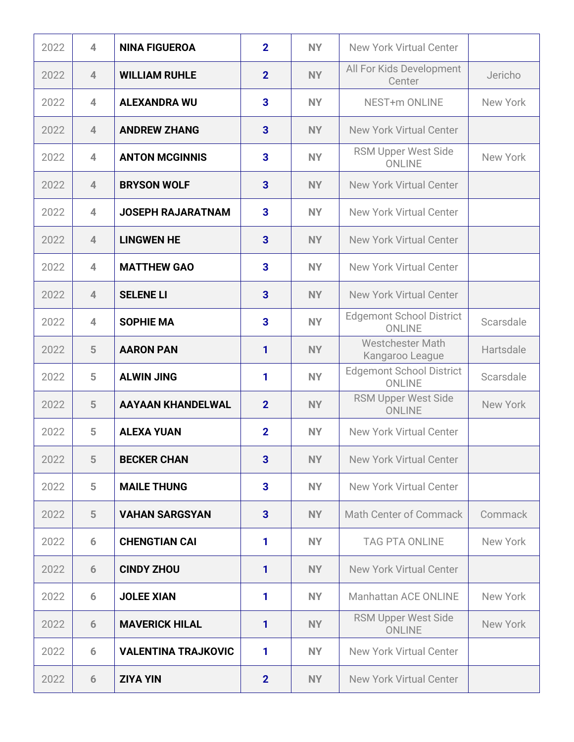| 2022 | $\overline{4}$ | <b>NINA FIGUEROA</b>       | $\overline{2}$ | <b>NY</b> | <b>New York Virtual Center</b>                   |           |
|------|----------------|----------------------------|----------------|-----------|--------------------------------------------------|-----------|
| 2022 | $\overline{4}$ | <b>WILLIAM RUHLE</b>       | $\overline{2}$ | <b>NY</b> | All For Kids Development<br>Center               | Jericho   |
| 2022 | 4              | <b>ALEXANDRA WU</b>        | 3              | <b>NY</b> | NEST+m ONLINE                                    | New York  |
| 2022 | $\overline{4}$ | <b>ANDREW ZHANG</b>        | 3              | <b>NY</b> | <b>New York Virtual Center</b>                   |           |
| 2022 | 4              | <b>ANTON MCGINNIS</b>      | 3              | <b>NY</b> | <b>RSM Upper West Side</b><br><b>ONLINE</b>      | New York  |
| 2022 | $\overline{4}$ | <b>BRYSON WOLF</b>         | 3              | <b>NY</b> | <b>New York Virtual Center</b>                   |           |
| 2022 | 4              | <b>JOSEPH RAJARATNAM</b>   | 3              | <b>NY</b> | <b>New York Virtual Center</b>                   |           |
| 2022 | $\overline{4}$ | <b>LINGWEN HE</b>          | 3              | <b>NY</b> | New York Virtual Center                          |           |
| 2022 | 4              | <b>MATTHEW GAO</b>         | 3              | <b>NY</b> | <b>New York Virtual Center</b>                   |           |
| 2022 | $\overline{4}$ | <b>SELENE LI</b>           | 3              | <b>NY</b> | <b>New York Virtual Center</b>                   |           |
| 2022 | $\overline{4}$ | <b>SOPHIE MA</b>           | 3              | <b>NY</b> | <b>Edgemont School District</b><br><b>ONLINE</b> | Scarsdale |
| 2022 | 5              | <b>AARON PAN</b>           | 1              | <b>NY</b> | <b>Westchester Math</b><br>Kangaroo League       | Hartsdale |
| 2022 | 5              | <b>ALWIN JING</b>          | 1              | <b>NY</b> | <b>Edgemont School District</b><br><b>ONLINE</b> | Scarsdale |
| 2022 | 5              | <b>AAYAAN KHANDELWAL</b>   | $\overline{2}$ | <b>NY</b> | <b>RSM Upper West Side</b><br><b>ONLINE</b>      | New York  |
| 2022 | 5              | <b>ALEXA YUAN</b>          | $\overline{2}$ | <b>NY</b> | New York Virtual Center                          |           |
| 2022 | 5              | <b>BECKER CHAN</b>         | 3              | <b>NY</b> | <b>New York Virtual Center</b>                   |           |
| 2022 | 5              | <b>MAILE THUNG</b>         | 3              | <b>NY</b> | <b>New York Virtual Center</b>                   |           |
| 2022 | 5              | <b>VAHAN SARGSYAN</b>      | 3              | <b>NY</b> | <b>Math Center of Commack</b>                    | Commack   |
| 2022 | 6              | <b>CHENGTIAN CAI</b>       | 1              | <b>NY</b> | <b>TAG PTA ONLINE</b>                            | New York  |
| 2022 | 6              | <b>CINDY ZHOU</b>          | 1              | <b>NY</b> | <b>New York Virtual Center</b>                   |           |
| 2022 | 6              | <b>JOLEE XIAN</b>          | 1              | <b>NY</b> | Manhattan ACE ONLINE                             | New York  |
| 2022 | 6              | <b>MAVERICK HILAL</b>      | 1              | <b>NY</b> | <b>RSM Upper West Side</b><br><b>ONLINE</b>      | New York  |
| 2022 | 6              | <b>VALENTINA TRAJKOVIC</b> | 1              | <b>NY</b> | <b>New York Virtual Center</b>                   |           |
| 2022 | 6              | <b>ZIYA YIN</b>            | $\overline{2}$ | NY        | <b>New York Virtual Center</b>                   |           |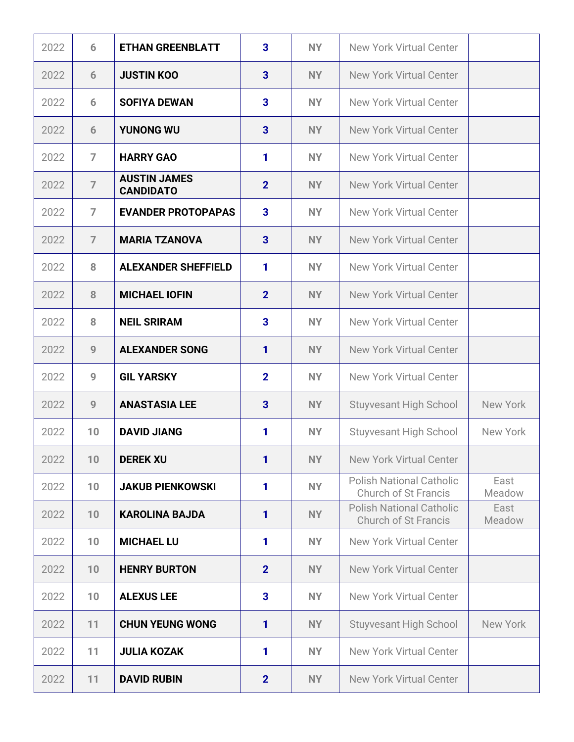| 2022 | 6              | <b>ETHAN GREENBLATT</b>                 | 3              | <b>NY</b> | <b>New York Virtual Center</b>                                 |                |
|------|----------------|-----------------------------------------|----------------|-----------|----------------------------------------------------------------|----------------|
| 2022 | 6              | <b>JUSTIN KOO</b>                       | 3              | <b>NY</b> | <b>New York Virtual Center</b>                                 |                |
| 2022 | 6              | <b>SOFIYA DEWAN</b>                     | 3              | <b>NY</b> | New York Virtual Center                                        |                |
| 2022 | 6              | <b>YUNONG WU</b>                        | 3              | <b>NY</b> | <b>New York Virtual Center</b>                                 |                |
| 2022 | $\overline{7}$ | <b>HARRY GAO</b>                        | 1              | <b>NY</b> | <b>New York Virtual Center</b>                                 |                |
| 2022 | $\overline{7}$ | <b>AUSTIN JAMES</b><br><b>CANDIDATO</b> | $\overline{2}$ | <b>NY</b> | <b>New York Virtual Center</b>                                 |                |
| 2022 | $\overline{7}$ | <b>EVANDER PROTOPAPAS</b>               | 3              | <b>NY</b> | <b>New York Virtual Center</b>                                 |                |
| 2022 | $\overline{7}$ | <b>MARIA TZANOVA</b>                    | 3              | <b>NY</b> | <b>New York Virtual Center</b>                                 |                |
| 2022 | 8              | <b>ALEXANDER SHEFFIELD</b>              | 1              | <b>NY</b> | <b>New York Virtual Center</b>                                 |                |
| 2022 | 8              | <b>MICHAEL IOFIN</b>                    | $\overline{2}$ | <b>NY</b> | <b>New York Virtual Center</b>                                 |                |
| 2022 | 8              | <b>NEIL SRIRAM</b>                      | 3              | <b>NY</b> | <b>New York Virtual Center</b>                                 |                |
| 2022 | 9              | <b>ALEXANDER SONG</b>                   | $\mathbf{1}$   | <b>NY</b> | <b>New York Virtual Center</b>                                 |                |
| 2022 | 9              | <b>GIL YARSKY</b>                       | $\overline{2}$ | <b>NY</b> | <b>New York Virtual Center</b>                                 |                |
| 2022 | 9              | <b>ANASTASIA LEE</b>                    | 3              | <b>NY</b> | <b>Stuyvesant High School</b>                                  | New York       |
| 2022 | 10             | <b>DAVID JIANG</b>                      | 1              | <b>NY</b> | <b>Stuyvesant High School</b>                                  | New York       |
| 2022 | 10             | <b>DEREK XU</b>                         | $\mathbf{1}$   | <b>NY</b> | <b>New York Virtual Center</b>                                 |                |
| 2022 | 10             | <b>JAKUB PIENKOWSKI</b>                 | 1              | <b>NY</b> | <b>Polish National Catholic</b><br><b>Church of St Francis</b> | East<br>Meadow |
| 2022 | 10             | <b>KAROLINA BAJDA</b>                   | $\mathbf{1}$   | <b>NY</b> | <b>Polish National Catholic</b><br><b>Church of St Francis</b> | East<br>Meadow |
| 2022 | 10             | <b>MICHAEL LU</b>                       | 1              | <b>NY</b> | <b>New York Virtual Center</b>                                 |                |
| 2022 | 10             | <b>HENRY BURTON</b>                     | $\overline{2}$ | <b>NY</b> | <b>New York Virtual Center</b>                                 |                |
| 2022 | 10             | <b>ALEXUS LEE</b>                       | 3              | <b>NY</b> | <b>New York Virtual Center</b>                                 |                |
| 2022 | 11             | <b>CHUN YEUNG WONG</b>                  | 1              | <b>NY</b> | <b>Stuyvesant High School</b>                                  | New York       |
| 2022 | 11             | <b>JULIA KOZAK</b>                      | 1              | <b>NY</b> | <b>New York Virtual Center</b>                                 |                |
| 2022 | 11             | <b>DAVID RUBIN</b>                      | $\overline{2}$ | NY        | <b>New York Virtual Center</b>                                 |                |